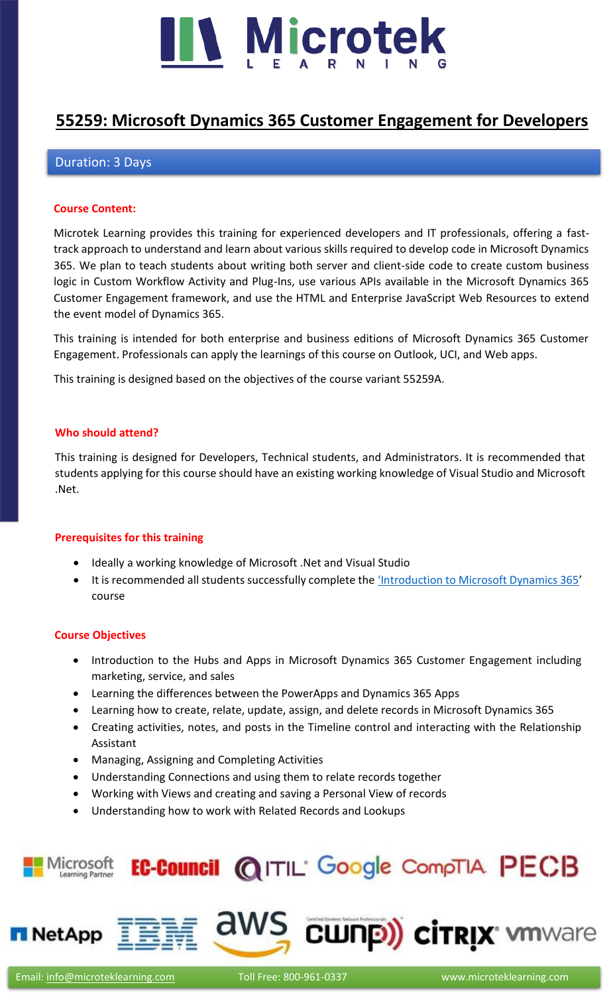

# **[55259: Microsoft Dynamics 365 Customer Engagement for Developers](https://www.microteklearning.com/55259-microsoft-dynamics-365-for-developers-training/)**

# Duration: 3 Days

#### **Course Content:**

Microtek Learning provides this training for experienced developers and IT professionals, offering a fasttrack approach to understand and learn about various skills required to develop code in Microsoft Dynamics 365. We plan to teach students about writing both server and client-side code to create custom business logic in Custom Workflow Activity and Plug-Ins, use various APIs available in the Microsoft Dynamics 365 Customer Engagement framework, and use the HTML and Enterprise JavaScript Web Resources to extend the event model of Dynamics 365.

This training is intended for both enterprise and business editions of Microsoft Dynamics 365 Customer Engagement. Professionals can apply the learnings of this course on Outlook, UCI, and Web apps.

This training is designed based on the objectives of the course variant 55259A.

#### **Who should attend?**

This training is designed for Developers, Technical students, and Administrators. It is recommended that students applying for this course should have an existing working knowledge of Visual Studio and Microsoft .Net.

#### **Prerequisites for this training**

- Ideally a working knowledge of Microsoft .Net and Visual Studio
- It is recommended all students successfully complete the ['Introduction to Microsoft Dynamics 365'](https://www.microteklearning.com/55250-introduction-to-microsoft-dynamics-365-fundamentals-training/) course

#### **Course Objectives**

- Introduction to the Hubs and Apps in Microsoft Dynamics 365 Customer Engagement including marketing, service, and sales
- Learning the differences between the PowerApps and Dynamics 365 Apps
- Learning how to create, relate, update, assign, and delete records in Microsoft Dynamics 365
- Creating activities, notes, and posts in the Timeline control and interacting with the Relationship Assistant
- Managing, Assigning and Completing Activities
- Understanding Connections and using them to relate records together
- Working with Views and creating and saving a Personal View of records
- Understanding how to work with Related Records and Lookups

#### EC-Council @ITIL' Google CompTIA PECB Microsoft Learning Partner



aws cunp) cirrix where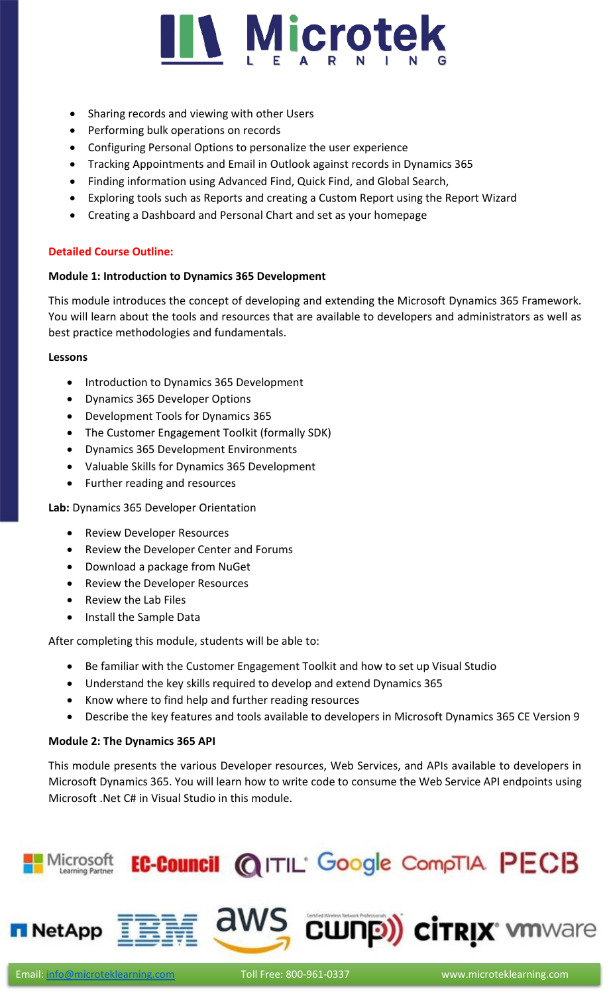

- Sharing records and viewing with other Users
- Performing bulk operations on records
- Configuring Personal Options to personalize the user experience
- Tracking Appointments and Email in Outlook against records in Dynamics 365
- Finding information using Advanced Find, Quick Find, and Global Search,
- Exploring tools such as Reports and creating a Custom Report using the Report Wizard
- Creating a Dashboard and Personal Chart and set as your homepage

# **Detailed Course Outline:**

## **Module 1: Introduction to Dynamics 365 Development**

This module introduces the concept of developing and extending the Microsoft Dynamics 365 Framework. You will learn about the tools and resources that are available to developers and administrators as well as best practice methodologies and fundamentals.

#### **Lessons**

- Introduction to Dynamics 365 Development
- Dynamics 365 Developer Options
- Development Tools for Dynamics 365
- The Customer Engagement Toolkit (formally SDK)
- Dynamics 365 Development Environments
- Valuable Skills for Dynamics 365 Development
- Further reading and resources

**Lab:** Dynamics 365 Developer Orientation

- Review Developer Resources
- Review the Developer Center and Forums
- Download a package from NuGet
- Review the Developer Resources
- Review the Lab Files
- Install the Sample Data

After completing this module, students will be able to:

- Be familiar with the Customer Engagement Toolkit and how to set up Visual Studio
- Understand the key skills required to develop and extend Dynamics 365
- Know where to find help and further reading resources
- Describe the key features and tools available to developers in Microsoft Dynamics 365 CE Version 9

# **Module 2: The Dynamics 365 API**

This module presents the various Developer resources, Web Services, and APIs available to developers in Microsoft Dynamics 365. You will learn how to write code to consume the Web Service API endpoints using Microsoft .Net C# in Visual Studio in this module.

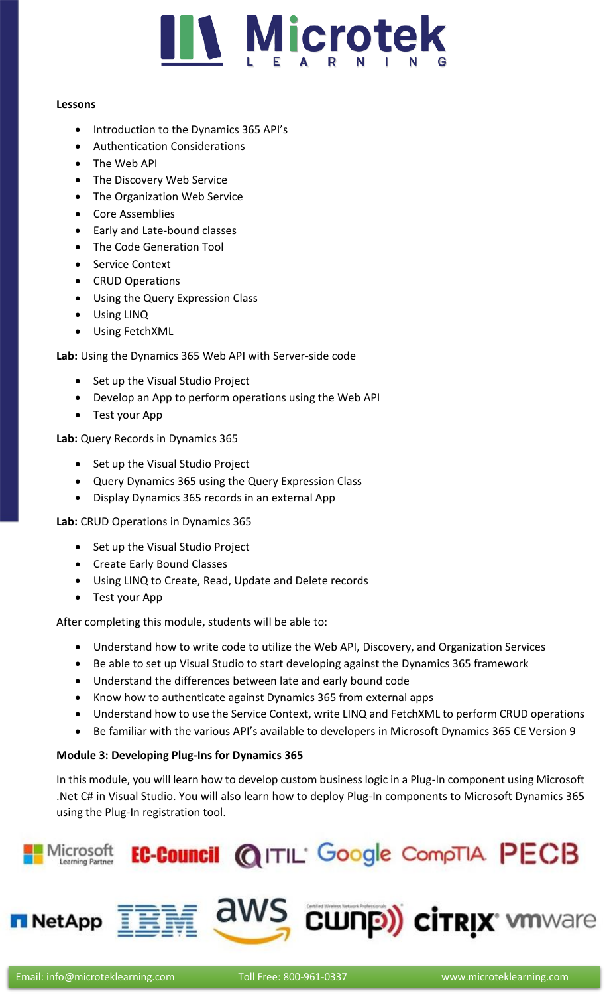

#### **Lessons**

- Introduction to the Dynamics 365 API's
- Authentication Considerations
- The Web API
- The Discovery Web Service
- The Organization Web Service
- Core Assemblies
- Early and Late-bound classes
- The Code Generation Tool
- Service Context
- CRUD Operations
- Using the Query Expression Class
- Using LINQ
- Using FetchXML

**Lab:** Using the Dynamics 365 Web API with Server-side code

- Set up the Visual Studio Project
- Develop an App to perform operations using the Web API
- Test your App

**Lab:** Query Records in Dynamics 365

- Set up the Visual Studio Project
- Query Dynamics 365 using the Query Expression Class
- Display Dynamics 365 records in an external App

**Lab:** CRUD Operations in Dynamics 365

- Set up the Visual Studio Project
- Create Early Bound Classes
- Using LINQ to Create, Read, Update and Delete records
- Test your App

After completing this module, students will be able to:

- Understand how to write code to utilize the Web API, Discovery, and Organization Services
- Be able to set up Visual Studio to start developing against the Dynamics 365 framework
- Understand the differences between late and early bound code
- Know how to authenticate against Dynamics 365 from external apps
- Understand how to use the Service Context, write LINQ and FetchXML to perform CRUD operations
- Be familiar with the various API's available to developers in Microsoft Dynamics 365 CE Version 9

# **Module 3: Developing Plug-Ins for Dynamics 365**

In this module, you will learn how to develop custom business logic in a Plug-In component using Microsoft .Net C# in Visual Studio. You will also learn how to deploy Plug-In components to Microsoft Dynamics 365 using the Plug-In registration tool.

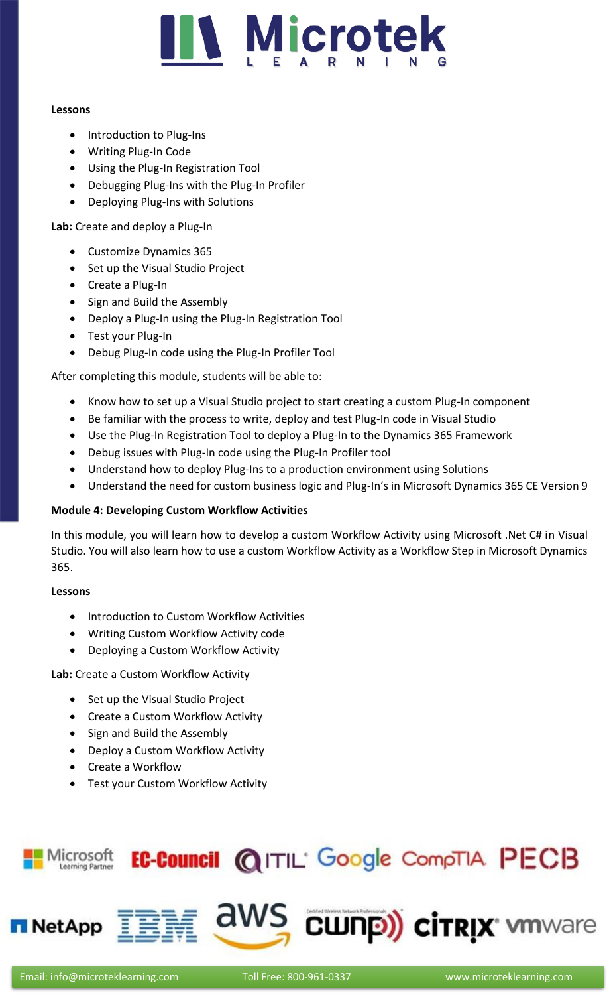

#### **Lessons**

- Introduction to Plug-Ins
- Writing Plug-In Code
- Using the Plug-In Registration Tool
- Debugging Plug-Ins with the Plug-In Profiler
- Deploying Plug-Ins with Solutions

**Lab:** Create and deploy a Plug-In

- Customize Dynamics 365
- Set up the Visual Studio Project
- Create a Plug-In
- Sign and Build the Assembly
- Deploy a Plug-In using the Plug-In Registration Tool
- Test your Plug-In
- Debug Plug-In code using the Plug-In Profiler Tool

After completing this module, students will be able to:

- Know how to set up a Visual Studio project to start creating a custom Plug-In component
- Be familiar with the process to write, deploy and test Plug-In code in Visual Studio
- Use the Plug-In Registration Tool to deploy a Plug-In to the Dynamics 365 Framework
- Debug issues with Plug-In code using the Plug-In Profiler tool
- Understand how to deploy Plug-Ins to a production environment using Solutions
- Understand the need for custom business logic and Plug-In's in Microsoft Dynamics 365 CE Version 9

# **Module 4: Developing Custom Workflow Activities**

In this module, you will learn how to develop a custom Workflow Activity using Microsoft .Net C# in Visual Studio. You will also learn how to use a custom Workflow Activity as a Workflow Step in Microsoft Dynamics 365.

# **Lessons**

- Introduction to Custom Workflow Activities
- Writing Custom Workflow Activity code
- Deploying a Custom Workflow Activity

**Lab:** Create a Custom Workflow Activity

- Set up the Visual Studio Project
- Create a Custom Workflow Activity
- Sign and Build the Assembly
- Deploy a Custom Workflow Activity
- Create a Workflow
- Test your Custom Workflow Activity





**NetApp** 

aws cunp) cirrix whware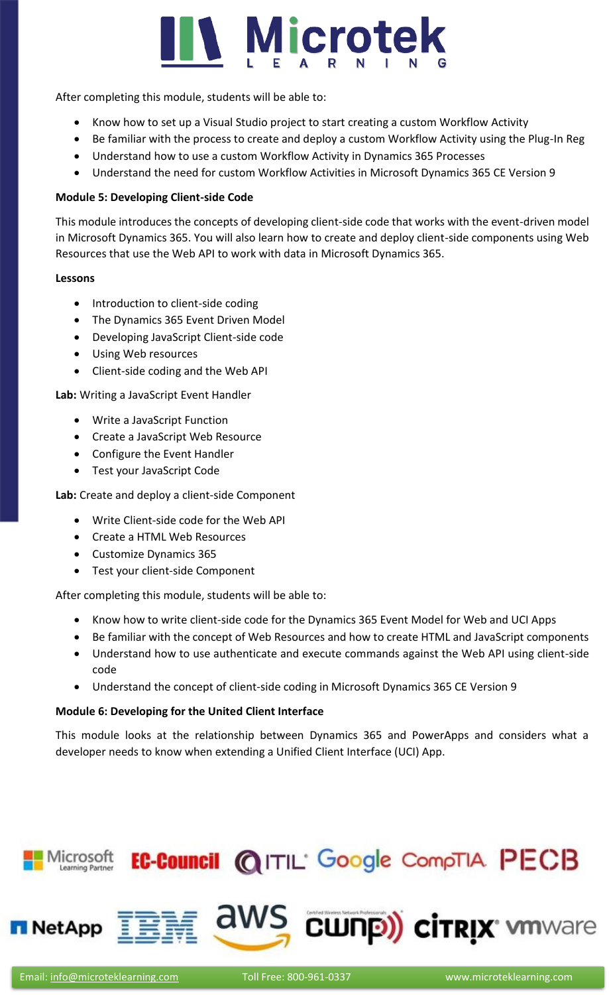# **N** Microtek

After completing this module, students will be able to:

- Know how to set up a Visual Studio project to start creating a custom Workflow Activity
- Be familiar with the process to create and deploy a custom Workflow Activity using the Plug-In Reg
- Understand how to use a custom Workflow Activity in Dynamics 365 Processes
- Understand the need for custom Workflow Activities in Microsoft Dynamics 365 CE Version 9

# **Module 5: Developing Client-side Code**

This module introduces the concepts of developing client-side code that works with the event-driven model in Microsoft Dynamics 365. You will also learn how to create and deploy client-side components using Web Resources that use the Web API to work with data in Microsoft Dynamics 365.

## **Lessons**

- Introduction to client-side coding
- The Dynamics 365 Event Driven Model
- Developing JavaScript Client-side code
- Using Web resources
- Client-side coding and the Web API

**Lab:** Writing a JavaScript Event Handler

- Write a JavaScript Function
- Create a JavaScript Web Resource
- Configure the Event Handler
- Test your JavaScript Code

**Lab:** Create and deploy a client-side Component

- Write Client-side code for the Web API
- Create a HTML Web Resources
- Customize Dynamics 365
- Test your client-side Component

After completing this module, students will be able to:

- Know how to write client-side code for the Dynamics 365 Event Model for Web and UCI Apps
- Be familiar with the concept of Web Resources and how to create HTML and JavaScript components
- Understand how to use authenticate and execute commands against the Web API using client-side code
- Understand the concept of client-side coding in Microsoft Dynamics 365 CE Version 9

# **Module 6: Developing for the United Client Interface**

This module looks at the relationship between Dynamics 365 and PowerApps and considers what a developer needs to know when extending a Unified Client Interface (UCI) App.



Microsoft